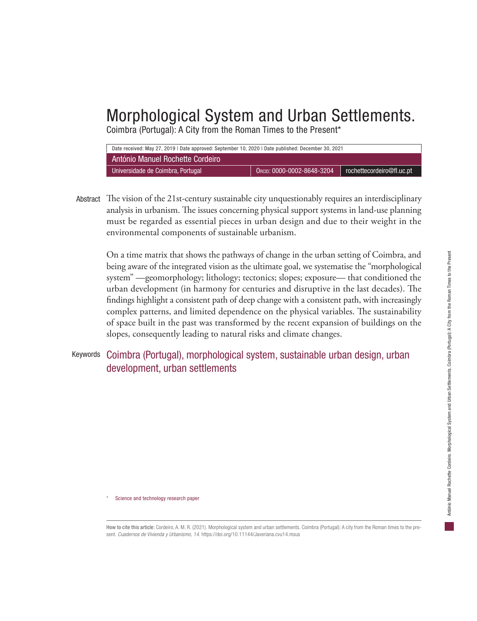# Morphological System and Urban Settlements.

Coimbra (Portugal): A City from the Roman Times to the Present\*

| Date received: May 27, 2019   Date approved: September 10, 2020   Date published: December 30, 2021 |                            |                           |
|-----------------------------------------------------------------------------------------------------|----------------------------|---------------------------|
| António Manuel Rochette Cordeiro                                                                    |                            |                           |
| Universidade de Coimbra, Portugal                                                                   | ORCID: 0000-0002-8648-3204 | rochettecordeiro@fl.uc.pt |

Abstract The vision of the 21st-century sustainable city unquestionably requires an interdisciplinary analysis in urbanism. The issues concerning physical support systems in land-use planning must be regarded as essential pieces in urban design and due to their weight in the environmental components of sustainable urbanism.

On a time matrix that shows the pathways of change in the urban setting of Coimbra, and being aware of the integrated vision as the ultimate goal, we systematise the "morphological system" —geomorphology; lithology; tectonics; slopes; exposure— that conditioned the urban development (in harmony for centuries and disruptive in the last decades). The findings highlight a consistent path of deep change with a consistent path, with increasingly complex patterns, and limited dependence on the physical variables. The sustainability of space built in the past was transformed by the recent expansion of buildings on the slopes, consequently leading to natural risks and climate changes.

## Keywords Coimbra (Portugal), morphological system, sustainable urban design, urban development, urban settlements

Science and technology research paper

How to cite this article: Cordeiro, A. M. R. (2021). Morphological system and urban settlements. Coimbra (Portugal): A city from the Roman times to the present. *Cuadernos de Vivienda y Urbanismo*, *14*. https://doi.org/10.11144/Javeriana.cvu14.msus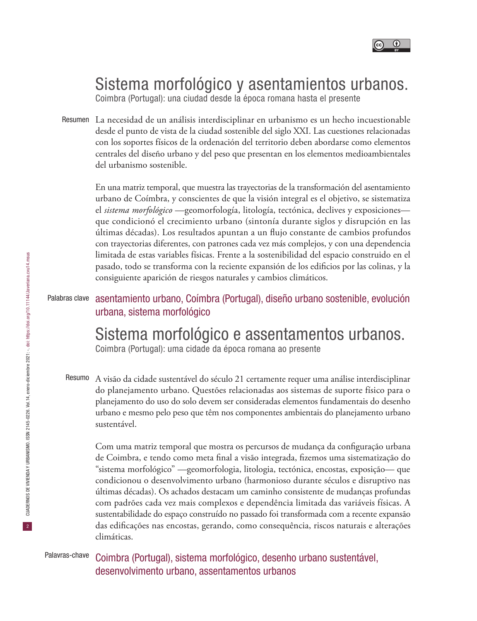

# Sistema morfológico y asentamientos urbanos.

Coimbra (Portugal): una ciudad desde la época romana hasta el presente

Resumen La necesidad de un análisis interdisciplinar en urbanismo es un hecho incuestionable desde el punto de vista de la ciudad sostenible del siglo XXI. Las cuestiones relacionadas con los soportes físicos de la ordenación del territorio deben abordarse como elementos centrales del diseño urbano y del peso que presentan en los elementos medioambientales del urbanismo sostenible.

En una matriz temporal, que muestra las trayectorias de la transformación del asentamiento urbano de Coímbra, y conscientes de que la visión integral es el objetivo, se sistematiza el *sistema morfológico* —geomorfología, litología, tectónica, declives y exposiciones que condicionó el crecimiento urbano (sintonía durante siglos y disrupción en las últimas décadas). Los resultados apuntan a un flujo constante de cambios profundos con trayectorias diferentes, con patrones cada vez más complejos, y con una dependencia limitada de estas variables físicas. Frente a la sostenibilidad del espacio construido en el pasado, todo se transforma con la reciente expansión de los edificios por las colinas, y la consiguiente aparición de riesgos naturales y cambios climáticos.

Palabras clave asentamiento urbano, Coímbra (Portugal), diseño urbano sostenible, evolución urbana, sistema morfológico

Sistema morfológico e assentamentos urbanos.

Coimbra (Portugal): uma cidade da época romana ao presente

Resumo A visão da cidade sustentável do século 21 certamente requer uma análise interdisciplinar do planejamento urbano. Questões relacionadas aos sistemas de suporte físico para o planejamento do uso do solo devem ser consideradas elementos fundamentais do desenho urbano e mesmo pelo peso que têm nos componentes ambientais do planejamento urbano sustentável.

Com uma matriz temporal que mostra os percursos de mudança da configuração urbana de Coimbra, e tendo como meta final a visão integrada, fizemos uma sistematização do "sistema morfológico" —geomorfologia, litologia, tectónica, encostas, exposição— que condicionou o desenvolvimento urbano (harmonioso durante séculos e disruptivo nas últimas décadas). Os achados destacam um caminho consistente de mudanças profundas com padrões cada vez mais complexos e dependência limitada das variáveis físicas. A sustentabilidade do espaço construído no passado foi transformada com a recente expansão das edificações nas encostas, gerando, como consequência, riscos naturais e alterações climáticas.

Palavras-chave Coimbra (Portugal), sistema morfológico, desenho urbano sustentável, desenvolvimento urbano, assentamentos urbanos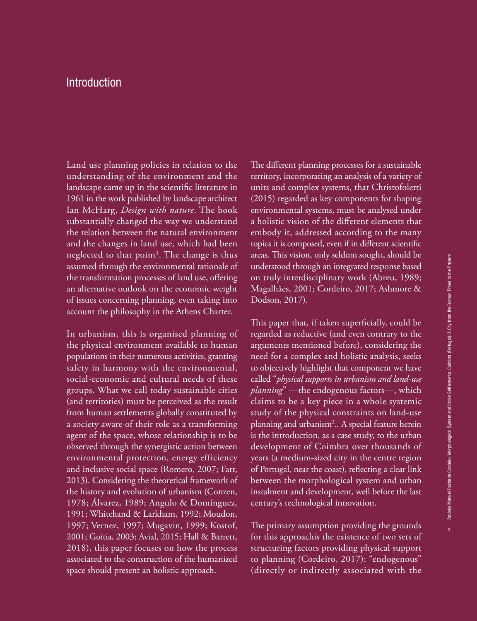## Introduction

Land use planning policies in relation to the understanding of the environment and the landscape came up in the scientific literature in 1961 in the work published by landscape architect Ian McHarg, *Design with nature*. The book substantially changed the way we understand the relation between the natural environment and the changes in land use, which had been neglected to that point<sup>1</sup>. The change is thus assumed through the environmental rationale of the transformation processes of land use, offering an alternative outlook on the economic weight of issues concerning planning, even taking into account the philosophy in the Athens Charter.

In urbanism, this is organised planning of the physical environment available to human populations in their numerous activities, granting safety in harmony with the environmental, social-economic and cultural needs of these groups. What we call today sustainable cities (and territories) must be perceived as the result from human settlements globally constituted by a society aware of their role as a transforming agent of the space, whose relationship is to be observed through the synergistic action between environmental protection, energy efficiency and inclusive social space (Romero, 2007; Farr, 2013). Considering the theoretical framework of the history and evolution of urbanism (Conzen, 1978; Álvarez, 1989; Angulo & Domínguez, 1991; Whitehand & Larkham, 1992; Moudon, 1997; Vernez, 1997; Mugavin, 1999; Kostof, 2001; Goitia, 2003; Avial, 2015; Hall & Barrett, 2018), this paper focuses on how the process associated to the construction of the humanized space should present an holistic approach.

The different planning processes for a sustainable territory, incorporating an analysis of a variety of units and complex systems, that Christofoletti (2015) regarded as key components for shaping environmental systems, must be analysed under a holistic vision of the different elements that embody it, addressed according to the many topics it is composed, even if in different scientific areas. This vision, only seldom sought, should be understood through an integrated response based on truly interdisciplinary work (Abreu, 1989; Magalhães, 2001; Cordeiro, 2017; Ashmore & Dodson, 2017).

This paper that, if taken superficially, could be regarded as reductive (and even contrary to the arguments mentioned before), considering the need for a complex and holistic analysis, seeks to objectively highlight that component we have called "*physical supports in urbanism and land-use planning*" —the endogenous factors—, which claims to be a key piece in a whole systemic study of the physical constraints on land-use planning and urbanism<sup>2</sup>.. A special feature herein is the introduction, as a case study, to the urban development of Coimbra over thousands of years (a medium-sized city in the centre region of Portugal, near the coast), reflecting a clear link between the morphological system and urban instalment and development, well before the last century's technological innovation.

The primary assumption providing the grounds for this approachis the existence of two sets of structuring factors providing physical support to planning (Cordeiro, 2017): "endogenous" (directly or indirectly associated with the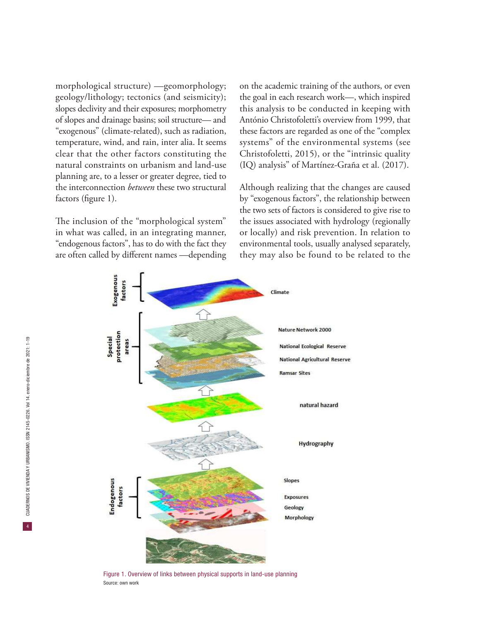morphological structure) —geomorphology; geology/lithology; tectonics (and seismicity); slopes declivity and their exposures; morphometry of slopes and drainage basins; soil structure— and "exogenous" (climate-related), such as radiation, temperature, wind, and rain, inter alia. It seems clear that the other factors constituting the natural constraints on urbanism and land-use planning are, to a lesser or greater degree, tied to the interconnection *between* these two structural factors (figure 1).

The inclusion of the "morphological system" in what was called, in an integrating manner, "endogenous factors", has to do with the fact they are often called by different names —depending

on the academic training of the authors, or even the goal in each research work—, which inspired this analysis to be conducted in keeping with António Christofoletti's overview from 1999, that these factors are regarded as one of the "complex systems" of the environmental systems (see Christofoletti, 2015), or the "intrinsic quality (IQ) analysis" of Martínez-Graña et al. (2017).

Although realizing that the changes are caused by "exogenous factors", the relationship between the two sets of factors is considered to give rise to the issues associated with hydrology (regionally or locally) and risk prevention. In relation to environmental tools, usually analysed separately, they may also be found to be related to the



Figure 1. Overview of links between physical supports in land-use planning Source: own work

 $\left|4\right\rangle$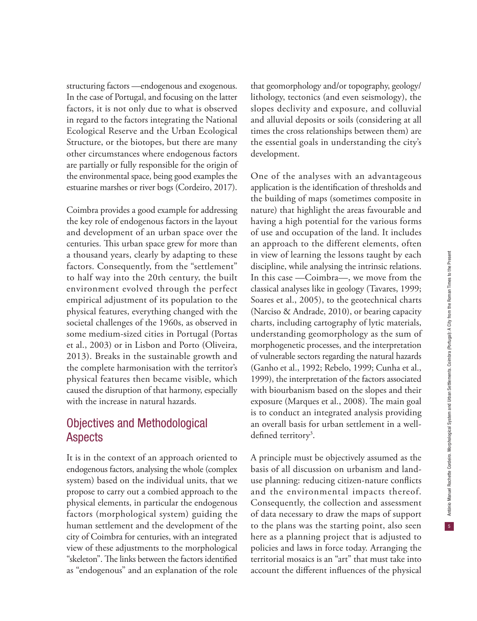structuring factors —endogenous and exogenous. In the case of Portugal, and focusing on the latter factors, it is not only due to what is observed in regard to the factors integrating the National Ecological Reserve and the Urban Ecological Structure, or the biotopes, but there are many other circumstances where endogenous factors are partially or fully responsible for the origin of the environmental space, being good examples the estuarine marshes or river bogs (Cordeiro, 2017).

Coimbra provides a good example for addressing the key role of endogenous factors in the layout and development of an urban space over the centuries. This urban space grew for more than a thousand years, clearly by adapting to these factors. Consequently, from the "settlement" to half way into the 20th century, the built environment evolved through the perfect empirical adjustment of its population to the physical features, everything changed with the societal challenges of the 1960s, as observed in some medium-sized cities in Portugal (Portas et al., 2003) or in Lisbon and Porto (Oliveira, 2013). Breaks in the sustainable growth and the complete harmonisation with the territor's physical features then became visible, which caused the disruption of that harmony, especially with the increase in natural hazards.

# Objectives and Methodological Aspects

It is in the context of an approach oriented to endogenous factors, analysing the whole (complex system) based on the individual units, that we propose to carry out a combied approach to the physical elements, in particular the endogenous factors (morphological system) guiding the human settlement and the development of the city of Coimbra for centuries, with an integrated view of these adjustments to the morphological "skeleton". The links between the factors identified as "endogenous" and an explanation of the role

that geomorphology and/or topography, geology/ lithology, tectonics (and even seismology), the slopes declivity and exposure, and colluvial and alluvial deposits or soils (considering at all times the cross relationships between them) are the essential goals in understanding the city's development.

One of the analyses with an advantageous application is the identification of thresholds and the building of maps (sometimes composite in nature) that highlight the areas favourable and having a high potential for the various forms of use and occupation of the land. It includes an approach to the different elements, often in view of learning the lessons taught by each discipline, while analysing the intrinsic relations. In this case —Coimbra—, we move from the classical analyses like in geology (Tavares, 1999; Soares et al., 2005), to the geotechnical charts (Narciso & Andrade, 2010), or bearing capacity charts, including cartography of lytic materials, understanding geomorphology as the sum of morphogenetic processes, and the interpretation of vulnerable sectors regarding the natural hazards (Ganho et al., 1992; Rebelo, 1999; Cunha et al., 1999), the interpretation of the factors associated with biourbanism based on the slopes and their exposure (Marques et al., 2008). The main goal is to conduct an integrated analysis providing an overall basis for urban settlement in a welldefined territory<sup>3</sup>.

A principle must be objectively assumed as the basis of all discussion on urbanism and landuse planning: reducing citizen-nature conflicts and the environmental impacts thereof. Consequently, the collection and assessment of data necessary to draw the maps of support to the plans was the starting point, also seen here as a planning project that is adjusted to policies and laws in force today. Arranging the territorial mosaics is an "art" that must take into account the different influences of the physical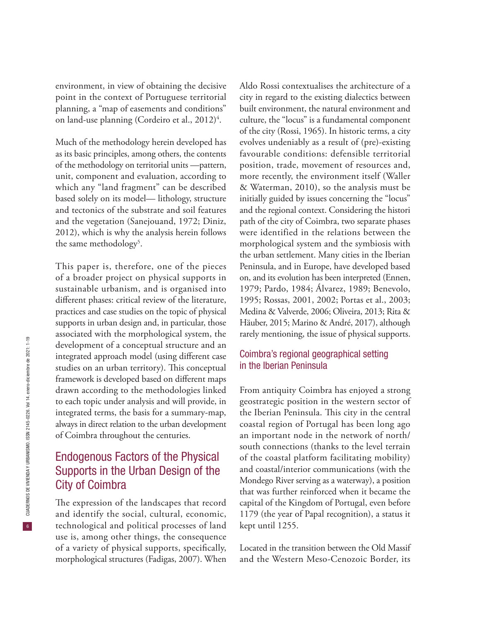environment, in view of obtaining the decisive point in the context of Portuguese territorial planning, a "map of easements and conditions" on land-use planning (Cordeiro et al., 2012)<sup>4</sup>.

Much of the methodology herein developed has as its basic principles, among others, the contents of the methodology on territorial units —pattern, unit, component and evaluation, according to which any "land fragment" can be described based solely on its model— lithology, structure and tectonics of the substrate and soil features and the vegetation (Sanejouand, 1972; Diniz, 2012), which is why the analysis herein follows the same methodology<sup>5</sup>.

This paper is, therefore, one of the pieces of a broader project on physical supports in sustainable urbanism, and is organised into different phases: critical review of the literature, practices and case studies on the topic of physical supports in urban design and, in particular, those associated with the morphological system, the development of a conceptual structure and an integrated approach model (using different case studies on an urban territory). This conceptual framework is developed based on different maps drawn according to the methodologies linked to each topic under analysis and will provide, in integrated terms, the basis for a summary-map, always in direct relation to the urban development of Coimbra throughout the centuries.

# Endogenous Factors of the Physical Supports in the Urban Design of the City of Coimbra

The expression of the landscapes that record and identify the social, cultural, economic, technological and political processes of land use is, among other things, the consequence of a variety of physical supports, specifically, morphological structures (Fadigas, 2007). When

Aldo Rossi contextualises the architecture of a city in regard to the existing dialectics between built environment, the natural environment and culture, the "locus" is a fundamental component of the city (Rossi, 1965). In historic terms, a city evolves undeniably as a result of (pre)-existing favourable conditions: defensible territorial position, trade, movement of resources and, more recently, the environment itself (Waller & Waterman, 2010), so the analysis must be initially guided by issues concerning the "locus" and the regional context. Considering the histori path of the city of Coimbra, two separate phases were identified in the relations between the morphological system and the symbiosis with the urban settlement. Many cities in the Iberian Peninsula, and in Europe, have developed based on, and its evolution has been interpreted (Ennen, 1979; Pardo, 1984; Álvarez, 1989; Benevolo, 1995; Rossas, 2001, 2002; Portas et al., 2003; Medina & Valverde, 2006; Oliveira, 2013; Rita & Häuber, 2015; Marino & André, 2017), although rarely mentioning, the issue of physical supports.

#### Coimbra's regional geographical setting in the Iberian Peninsula

From antiquity Coimbra has enjoyed a strong geostrategic position in the western sector of the Iberian Peninsula. This city in the central coastal region of Portugal has been long ago an important node in the network of north/ south connections (thanks to the level terrain of the coastal platform facilitating mobility) and coastal/interior communications (with the Mondego River serving as a waterway), a position that was further reinforced when it became the capital of the Kingdom of Portugal, even before 1179 (the year of Papal recognition), a status it kept until 1255.

Located in the transition between the Old Massif and the Western Meso-Cenozoic Border, its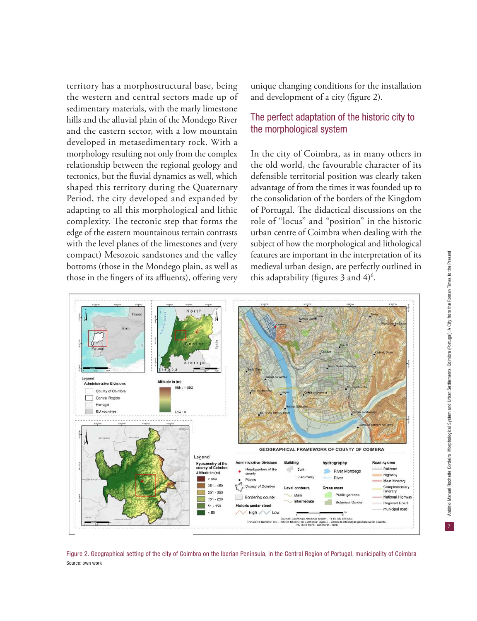territory has a morphostructural base, being the western and central sectors made up of sedimentary materials, with the marly limestone hills and the alluvial plain of the Mondego River and the eastern sector, with a low mountain developed in metasedimentary rock. With a morphology resulting not only from the complex relationship between the regional geology and tectonics, but the fluvial dynamics as well, which shaped this territory during the Quaternary Period, the city developed and expanded by adapting to all this morphological and lithic complexity. The tectonic step that forms the edge of the eastern mountainous terrain contrasts with the level planes of the limestones and (very compact) Mesozoic sandstones and the valley bottoms (those in the Mondego plain, as well as those in the fingers of its affluents), offering very

unique changing conditions for the installation and development of a city (figure 2).

#### The perfect adaptation of the historic city to the morphological system

In the city of Coimbra, as in many others in the old world, the favourable character of its defensible territorial position was clearly taken advantage of from the times it was founded up to the consolidation of the borders of the Kingdom of Portugal. The didactical discussions on the role of "locus" and "position" in the historic urban centre of Coimbra when dealing with the subject of how the morphological and lithological features are important in the interpretation of its medieval urban design, are perfectly outlined in this adaptability (figures 3 and  $4$ )<sup>6</sup>.



Figure 2. Geographical setting of the city of Coimbra on the Iberian Peninsula, in the Central Region of Portugal, municipality of Coimbra Source: own work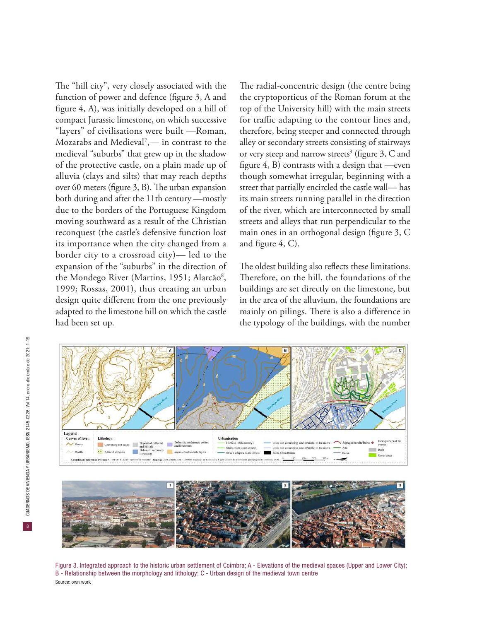The "hill city", very closely associated with the function of power and defence (figure 3, A and figure 4, A), was initially developed on a hill of compact Jurassic limestone, on which successive "layers" of civilisations were built —Roman, Mozarabs and Medieval7 ,— in contrast to the medieval "suburbs" that grew up in the shadow of the protective castle, on a plain made up of alluvia (clays and silts) that may reach depths over 60 meters (figure 3, B). The urban expansion both during and after the 11th century —mostly due to the borders of the Portuguese Kingdom moving southward as a result of the Christian reconquest (the castle's defensive function lost its importance when the city changed from a border city to a crossroad city)— led to the expansion of the "suburbs" in the direction of the Mondego River (Martins, 1951; Alarcão<sup>8</sup>, 1999; Rossas, 2001), thus creating an urban design quite different from the one previously adapted to the limestone hill on which the castle had been set up.

The radial-concentric design (the centre being the cryptoporticus of the Roman forum at the top of the University hill) with the main streets for traffic adapting to the contour lines and, therefore, being steeper and connected through alley or secondary streets consisting of stairways or very steep and narrow streets<sup>9</sup> (figure 3, C and figure 4, B) contrasts with a design that —even though somewhat irregular, beginning with a street that partially encircled the castle wall— has its main streets running parallel in the direction of the river, which are interconnected by small streets and alleys that run perpendicular to the main ones in an orthogonal design (figure 3, C and figure 4, C).

The oldest building also reflects these limitations. Therefore, on the hill, the foundations of the buildings are set directly on the limestone, but in the area of the alluvium, the foundations are mainly on pilings. There is also a difference in the typology of the buildings, with the number





Figure 3. Integrated approach to the historic urban settlement of Coimbra; A - Elevations of the medieval spaces (Upper and Lower City); B - Relationship between the morphology and lithology; C - Urban design of the medieval town centre Source: own work

 $\sqrt{8}$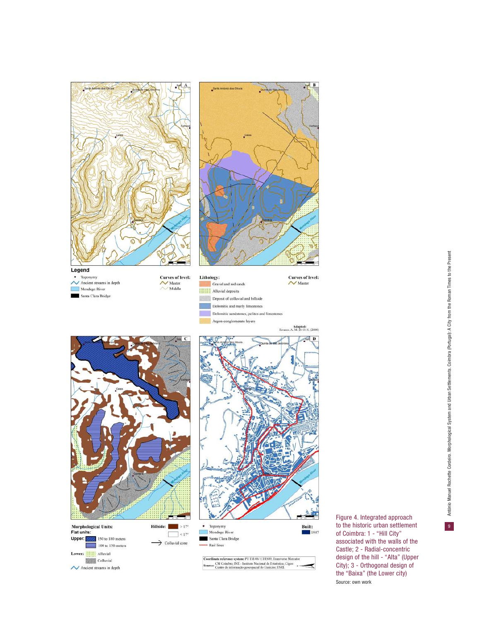



• Toponymy<br>  $\sim$  Ancient streams in depth Mondego River Santa Clara Bridge

**Curves of level:** Lithology:

 $\sim$  Master







- Dolomitic and marly limestones
- Dolomitic sandstones, pelitos and limestones
- Argon-conglomerate layers

Adapted:<br>Tavarcs, A. M. D. O. S. (2000)

**Curves of level:** 

**△** Master



Colluvial Ancient streams in depth



 $\begin{tabular}{ll} \textbf{Coordinate reference system: PITIA-06/ EIRS89.}\textit{Transverse Mercator} \\ \textbf{Source: CM Coimbra: INE - Instituto Nacional de Estatística; Cigco} \\ \textbf{Coemvec: Centio de informação geosspacial do Exército; ESRL} \end{tabular} \begin{tabular}{ll} \textbf{6.0}\end{tabular}$ 

Figure 4. Integrated approach to the historic urban settlement of Coimbra: 1 - "Hill City" associated with the walls of the Castle; 2 - Radial-concentric design of the hill - "Alta" (Upper City); 3 - Orthogonal design of the "Baixa" (the Lower city) Source: own work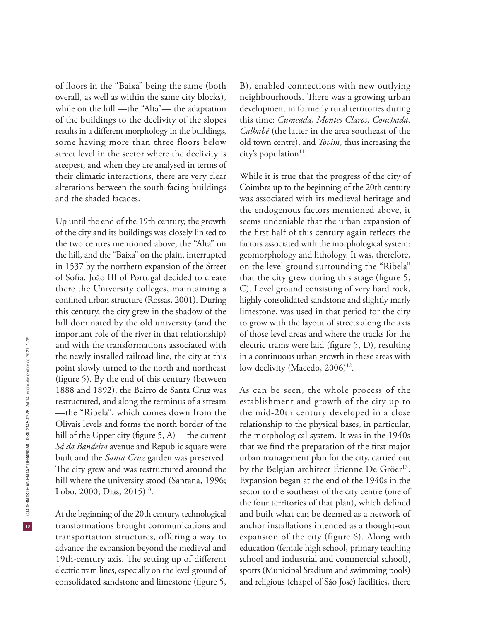of floors in the "Baixa" being the same (both overall, as well as within the same city blocks), while on the hill —the "Alta"— the adaptation of the buildings to the declivity of the slopes results in a different morphology in the buildings, some having more than three floors below street level in the sector where the declivity is steepest, and when they are analysed in terms of their climatic interactions, there are very clear alterations between the south-facing buildings and the shaded facades.

Up until the end of the 19th century, the growth of the city and its buildings was closely linked to the two centres mentioned above, the "Alta" on the hill, and the "Baixa" on the plain, interrupted in 1537 by the northern expansion of the Street of Sofia. João III of Portugal decided to create there the University colleges, maintaining a confined urban structure (Rossas, 2001). During this century, the city grew in the shadow of the hill dominated by the old university (and the important role of the river in that relationship) and with the transformations associated with the newly installed railroad line, the city at this point slowly turned to the north and northeast (figure 5). By the end of this century (between 1888 and 1892), the Bairro de Santa Cruz was restructured, and along the terminus of a stream —the "Ribela", which comes down from the Olivais levels and forms the north border of the hill of the Upper city (figure 5, A)— the current *Sá da Bandeira* avenue and Republic square were built and the *Santa Cruz* garden was preserved. The city grew and was restructured around the hill where the university stood (Santana, 1996; Lobo, 2000; Dias, 2015)<sup>10</sup>.

At the beginning of the 20th century, technological transformations brought communications and transportation structures, offering a way to advance the expansion beyond the medieval and 19th-century axis. The setting up of different electric tram lines, especially on the level ground of consolidated sandstone and limestone (figure 5,

B), enabled connections with new outlying neighbourhoods. There was a growing urban development in formerly rural territories during this time: *Cumeada, Montes Claros, Conchada, Calhabé* (the latter in the area southeast of the old town centre), and *Tovim*, thus increasing the city's population<sup>11</sup>.

While it is true that the progress of the city of Coimbra up to the beginning of the 20th century was associated with its medieval heritage and the endogenous factors mentioned above, it seems undeniable that the urban expansion of the first half of this century again reflects the factors associated with the morphological system: geomorphology and lithology. It was, therefore, on the level ground surrounding the "Ribela" that the city grew during this stage (figure 5, C). Level ground consisting of very hard rock, highly consolidated sandstone and slightly marly limestone, was used in that period for the city to grow with the layout of streets along the axis of those level areas and where the tracks for the electric trams were laid (figure 5, D), resulting in a continuous urban growth in these areas with low declivity (Macedo, 2006)<sup>12</sup>.

As can be seen, the whole process of the establishment and growth of the city up to the mid-20th century developed in a close relationship to the physical bases, in particular, the morphological system. It was in the 1940s that we find the preparation of the first major urban management plan for the city, carried out by the Belgian architect Étienne De Gröer<sup>13</sup>. Expansion began at the end of the 1940s in the sector to the southeast of the city centre (one of the four territories of that plan), which defined and built what can be deemed as a network of anchor installations intended as a thought-out expansion of the city (figure 6). Along with education (female high school, primary teaching school and industrial and commercial school), sports (Municipal Stadium and swimming pools) and religious (chapel of São José) facilities, there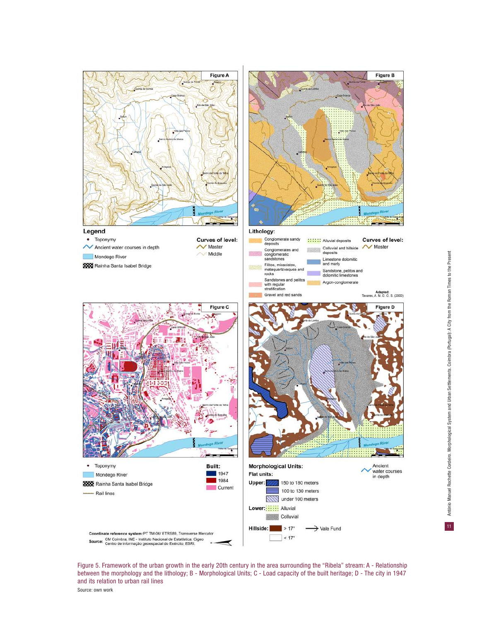

Figure 5. Framework of the urban growth in the early 20th century in the area surrounding the "Ribela" stream: A - Relationship between the morphology and the lithology; B - Morphological Units; C - Load capacity of the built heritage; D - The city in 1947 and its relation to urban rail lines

Source: own work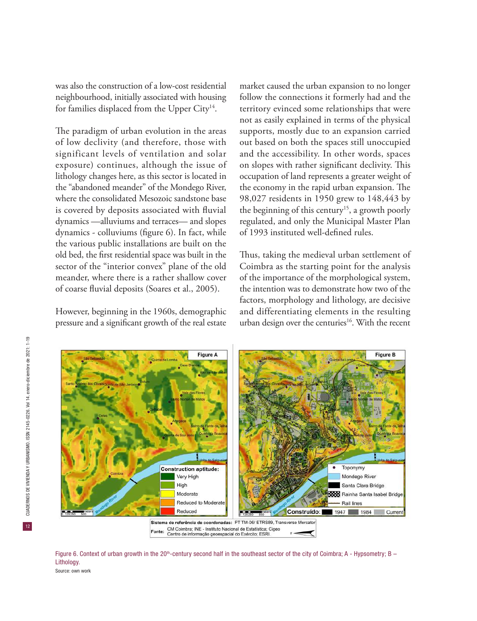was also the construction of a low-cost residential neighbourhood, initially associated with housing for families displaced from the Upper City<sup>14</sup>.

The paradigm of urban evolution in the areas of low declivity (and therefore, those with significant levels of ventilation and solar exposure) continues, although the issue of lithology changes here, as this sector is located in the "abandoned meander" of the Mondego River, where the consolidated Mesozoic sandstone base is covered by deposits associated with fluvial dynamics —alluviums and terraces— and slopes dynamics - colluviums (figure 6). In fact, while the various public installations are built on the old bed, the first residential space was built in the sector of the "interior convex" plane of the old meander, where there is a rather shallow cover of coarse fluvial deposits (Soares et al., 2005).

However, beginning in the 1960s, demographic pressure and a significant growth of the real estate

market caused the urban expansion to no longer follow the connections it formerly had and the territory evinced some relationships that were not as easily explained in terms of the physical supports, mostly due to an expansion carried out based on both the spaces still unoccupied and the accessibility. In other words, spaces on slopes with rather significant declivity. This occupation of land represents a greater weight of the economy in the rapid urban expansion. The 98,027 residents in 1950 grew to 148,443 by the beginning of this century<sup>15</sup>, a growth poorly regulated, and only the Municipal Master Plan of 1993 instituted well-defined rules.

Thus, taking the medieval urban settlement of Coimbra as the starting point for the analysis of the importance of the morphological system, the intention was to demonstrate how two of the factors, morphology and lithology, are decisive and differentiating elements in the resulting urban design over the centuries<sup>16</sup>. With the recent



Figure 6. Context of urban growth in the 20<sup>th</sup>-century second half in the southeast sector of the city of Coimbra; A - Hypsometry; B -Lithology.

Source: own work

 $12$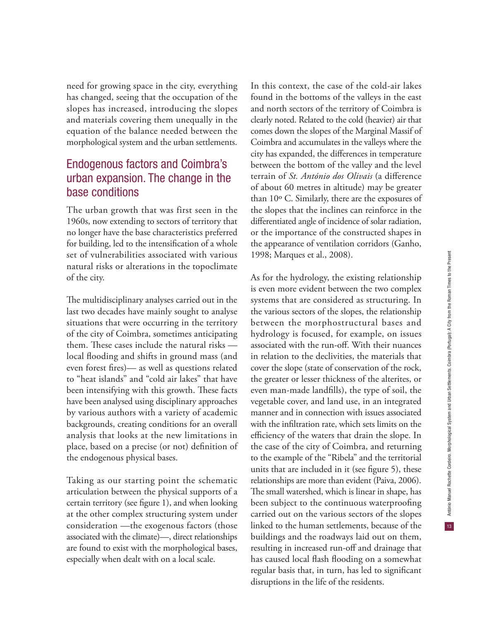$13<sup>°</sup>$ 

need for growing space in the city, everything has changed, seeing that the occupation of the slopes has increased, introducing the slopes and materials covering them unequally in the equation of the balance needed between the morphological system and the urban settlements.

# Endogenous factors and Coimbra's urban expansion. The change in the base conditions

The urban growth that was first seen in the 1960s, now extending to sectors of territory that no longer have the base characteristics preferred for building, led to the intensification of a whole set of vulnerabilities associated with various natural risks or alterations in the topoclimate of the city.

The multidisciplinary analyses carried out in the last two decades have mainly sought to analyse situations that were occurring in the territory of the city of Coimbra, sometimes anticipating them. These cases include the natural risks local flooding and shifts in ground mass (and even forest fires)— as well as questions related to "heat islands" and "cold air lakes" that have been intensifying with this growth. These facts have been analysed using disciplinary approaches by various authors with a variety of academic backgrounds, creating conditions for an overall analysis that looks at the new limitations in place, based on a precise (or not) definition of the endogenous physical bases.

Taking as our starting point the schematic articulation between the physical supports of a certain territory (see figure 1), and when looking at the other complex structuring system under consideration —the exogenous factors (those associated with the climate)—, direct relationships are found to exist with the morphological bases, especially when dealt with on a local scale.

In this context, the case of the cold-air lakes found in the bottoms of the valleys in the east and north sectors of the territory of Coimbra is clearly noted. Related to the cold (heavier) air that comes down the slopes of the Marginal Massif of Coimbra and accumulates in the valleys where the city has expanded, the differences in temperature between the bottom of the valley and the level terrain of *St. António dos Olivais* (a difference of about 60 metres in altitude) may be greater than 10º C. Similarly, there are the exposures of the slopes that the inclines can reinforce in the differentiated angle of incidence of solar radiation, or the importance of the constructed shapes in the appearance of ventilation corridors (Ganho, 1998; Marques et al., 2008).

As for the hydrology, the existing relationship is even more evident between the two complex systems that are considered as structuring. In the various sectors of the slopes, the relationship between the morphostructural bases and hydrology is focused, for example, on issues associated with the run-off. With their nuances in relation to the declivities, the materials that cover the slope (state of conservation of the rock, the greater or lesser thickness of the alterites, or even man-made landfills), the type of soil, the vegetable cover, and land use, in an integrated manner and in connection with issues associated with the infiltration rate, which sets limits on the efficiency of the waters that drain the slope. In the case of the city of Coimbra, and returning to the example of the "Ribela" and the territorial units that are included in it (see figure 5), these relationships are more than evident (Paiva, 2006). The small watershed, which is linear in shape, has been subject to the continuous waterproofing carried out on the various sectors of the slopes linked to the human settlements, because of the buildings and the roadways laid out on them, resulting in increased run-off and drainage that has caused local flash flooding on a somewhat regular basis that, in turn, has led to significant disruptions in the life of the residents.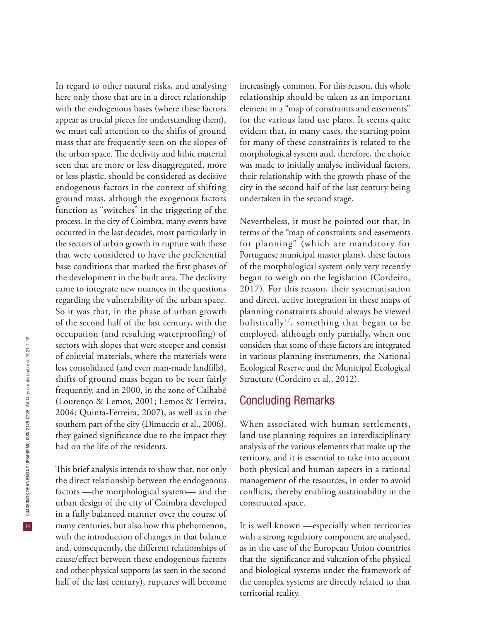In regard to other natural risks, and analysing here only those that are in a direct relationship with the endogenous bases (where these factors appear as crucial pieces for understanding them), we must call attention to the shifts of ground mass that are frequently seen on the slopes of the urban space. The declivity and lithic material seen that are more or less disaggregated, more or less plastic, should be considered as decisive endogenous factors in the context of shifting ground mass, although the exogenous factors function as "switches" in the triggering of the process. In the city of Coimbra, many events have occurred in the last decades, most particularly in the sectors of urban growth in rupture with those that were considered to have the preferential base conditions that marked the first phases of the development in the built area. The declivity came to integrate new nuances in the questions regarding the vulnerability of the urban space. So it was that, in the phase of urban growth of the second half of the last century, with the occupation (and resulting waterproofing) of sectors with slopes that were steeper and consist of coluvial materials, where the materials were less consolidated (and even man-made landfills), shifts of ground mass began to be seen fairly frequently, and in 2000, in the zone of Calhabé (Lourenço & Lemos, 2001; Lemos & Ferreira, 2004; Quinta-Ferreira, 2007), as well as in the southern part of the city (Dimuccio et al., 2006), they gained significance due to the impact they had on the life of the residents.

This brief analysis intends to show that, not only the direct relationship between the endogenous factors —the morphological system— and the urban design of the city of Coimbra developed in a fully balanced manner over the course of many centuries, but also how this phehomenon, with the introduction of changes in that balance and, consequently, the different relationships of cause/effect between these endogenous factors and other physical supports (as seen in the second half of the last century), ruptures will become

increasingly common. For this reason, this whole relationship should be taken as an important element in a "map of constraints and easements" for the various land use plans. It seems quite evident that, in many cases, the starting point for many of these constraints is related to the morphological system and, therefore, the choice was made to initially analyse individual factors, their relationship with the growth phase of the city in the second half of the last century being undertaken in the second stage.

Nevertheless, it must be pointed out that, in terms of the "map of constraints and easements for planning" (which are mandatory for Portuguese municipal master plans), these factors of the morphological system only very recently began to weigh on the legislation (Cordeiro, 2017). For this reason, their systematisation and direct, active integration in these maps of planning constraints should always be viewed holistically<sup>17</sup>, something that began to be employed, although only partially, when one considers that some of these factors are integrated in various planning instruments, the National Ecological Reserve and the Municipal Ecological Structure (Cordeiro et al., 2012).

### Concluding Remarks

When associated with human settlements, land-use planning requires an interdisciplinary analysis of the various elements that make up the territory, and it is essential to take into account both physical and human aspects in a rational management of the resources, in order to avoid conflicts, thereby enabling sustainability in the constructed space.

It is well known —especially when territories with a strong regulatory component are analysed, as in the case of the European Union countries that the significance and valuation of the physical and biological systems under the framework of the complex systems are directly related to that territorial reality.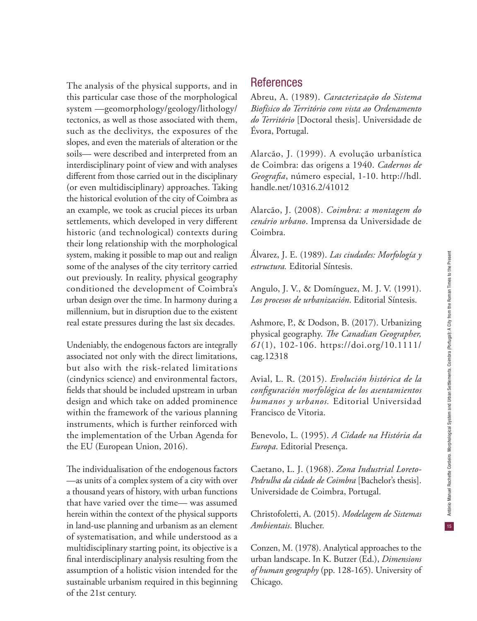$15<sup>°</sup>$ 

The analysis of the physical supports, and in this particular case those of the morphological system —geomorphology/geology/lithology/ tectonics, as well as those associated with them, such as the declivitys, the exposures of the slopes, and even the materials of alteration or the soils— were described and interpreted from an interdisciplinary point of view and with analyses different from those carried out in the disciplinary (or even multidisciplinary) approaches. Taking the historical evolution of the city of Coimbra as an example, we took as crucial pieces its urban settlements, which developed in very different historic (and technological) contexts during their long relationship with the morphological system, making it possible to map out and realign some of the analyses of the city territory carried out previously. In reality, physical geography conditioned the development of Coimbra's urban design over the time. In harmony during a millennium, but in disruption due to the existent real estate pressures during the last six decades.

Undeniably, the endogenous factors are integrally associated not only with the direct limitations, but also with the risk-related limitations (cindynics science) and environmental factors, fields that should be included upstream in urban design and which take on added prominence within the framework of the various planning instruments, which is further reinforced with the implementation of the Urban Agenda for the EU (European Union, 2016).

The individualisation of the endogenous factors —as units of a complex system of a city with over a thousand years of history, with urban functions that have varied over the time— was assumed herein within the context of the physical supports in land-use planning and urbanism as an element of systematisation, and while understood as a multidisciplinary starting point, its objective is a final interdisciplinary analysis resulting from the assumption of a holistic vision intended for the sustainable urbanism required in this beginning of the 21st century.

### References

Abreu, A. (1989). *Caracterização do Sistema Biofísico do Território com vista ao Ordenamento do Território* [Doctoral thesis]. Universidade de Évora, Portugal.

Alarcão, J. (1999). A evolução urbanística de Coimbra: das origens a 1940. *Cadernos de Geografia*, número especial, 1-10. http://hdl. handle.net/10316.2/41012

Alarcão, J. (2008). *Coimbra: a montagem do cenário urbano*. Imprensa da Universidade de Coimbra.

Álvarez, J. E. (1989). *Las ciudades: Morfología y estructura.* Editorial Síntesis.

Angulo, J. V., & Domínguez, M. J. V. (1991). *Los procesos de urbanización*. Editorial Síntesis.

Ashmore, P., & Dodson, B. (2017). Urbanizing physical geography. *The Canadian Geographer, 61*(1), 102-106. https://doi.org/10.1111/ cag.12318

Avial, L. R. (2015). *Evolución histórica de la configuración morfológica de los asentamientos humanos y urbanos.* Editorial Universidad Francisco de Vitoria.

Benevolo, L. (1995). *A Cidade na História da Europa*. Editorial Presença.

Caetano, L. J. (1968). *Zona Industrial Loreto-Pedrulha da cidade de Coimbra* [Bachelor's thesis]. Universidade de Coimbra, Portugal.

Christofoletti, A. (2015). *Modelagem de Sistemas Ambientais*. Blucher.

Conzen, M. (1978). Analytical approaches to the urban landscape. In K. Butzer (Ed.), *Dimensions of human geography* (pp. 128-165). University of Chicago.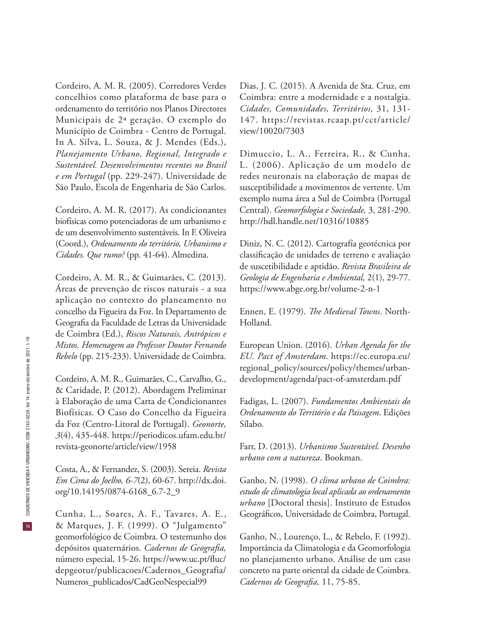Cordeiro, A. M. R. (2005). Corredores Verdes concelhios como plataforma de base para o ordenamento do território nos Planos Directores Municipais de 2ª geração. O exemplo do Município de Coimbra - Centro de Portugal. In A. Silva, L. Souza, & J. Mendes (Eds.), *Planejamento Urbano, Regional, Integrado e Sustentável. Desenvolvimentos recentes no Brasil e em Portugal* (pp. 229-247). Universidade de São Paulo, Escola de Engenharia de São Carlos.

Cordeiro, A. M. R. (2017). As condicionantes biofísicas como potenciadoras de um urbanismo e de um desenvolvimento sustentáveis. In F. Oliveira (Coord.), *Ordenamento do território, Urbanismo e Cidades. Que rumo?* (pp. 41-64). Almedina.

Cordeiro, A. M. R., & Guimarães, C. (2013). Áreas de prevenção de riscos naturais - a sua aplicação no contexto do planeamento no concelho da Figueira da Foz. In Departamento de Geografia da Faculdade de Letras da Universidade de Coimbra (Ed.), *Riscos Naturais, Antrópicos e Mistos. Homenagem ao Professor Doutor Fernando Rebelo* (pp. 215-233). Universidade de Coimbra.

Cordeiro, A. M. R., Guimarães, C., Carvalho, G., & Caridade, P. (2012). Abordagem Preliminar à Elaboração de uma Carta de Condicionantes Biofísicas. O Caso do Concelho da Figueira da Foz (Centro-Litoral de Portugal). *Geonorte, 3*(4), 435-448. https://periodicos.ufam.edu.br/ revista-geonorte/article/view/1958

Costa, A., & Fernandez, S. (2003). Sereia. *Revista Em Cima do Joelho, 6-7*(2), 60-67. http://dx.doi. org/10.14195/0874-6168\_6.7-2\_9

Cunha, L., Soares, A. F., Tavares, A. E., & Marques, J. F. (1999). O "Julgamento" geomorfológico de Coimbra. O testemunho dos depósitos quaternários. *Cadernos de Geografia,* número especial, 15-26. https://www.uc.pt/fluc/ depgeotur/publicacoes/Cadernos\_Geografia/ Numeros\_publicados/CadGeoNespecial99

Dias, J. C. (2015). A Avenida de Sta. Cruz, em Coimbra: entre a modernidade e a nostalgia. *Cidades, Comunidades, Territórios,* 31, 131- 147. https://revistas.rcaap.pt/cct/article/ view/10020/7303

Dimuccio, L. A., Ferreira, R., & Cunha, L. (2006). Aplicação de um modelo de redes neuronais na elaboração de mapas de susceptibilidade a movimentos de vertente. Um exemplo numa área a Sul de Coimbra (Portugal Central). *Geomorfologia e Sociedade,* 3, 281-290. http://hdl.handle.net/10316/10885

Diniz, N. C. (2012). Cartografía geotécnica por classificação de unidades de terreno e avaliação de suscetibilidade e aptidão. *Revista Brasileira de Geologia de Engenharia e Ambiental,* 2(1), 29-77. https://www.abge.org.br/volume-2-n-1

Ennen, E. (1979). *The Medieval Towns*. North-Holland.

European Union. (2016). *Urban Agenda for the EU. Pact of Amsterdam*. https://ec.europa.eu/ regional\_policy/sources/policy/themes/urbandevelopment/agenda/pact-of-amsterdam.pdf

Fadigas, L. (2007). *Fundamentos Ambientais do Ordenamento do Território e da Paisagem*. Edições Sílabo.

Farr, D. (2013). *Urbanismo Sustentável. Desenho urbano com a natureza*. Bookman.

Ganho, N. (1998). *O clima urbano de Coimbra: estudo de climatologia local aplicada ao ordenamento urbano* [Doctoral thesis]. Instituto de Estudos Geográficos, Universidade de Coimbra, Portugal.

Ganho, N., Lourenço, L., & Rebelo, F. (1992). Importância da Climatologia e da Geomorfologia no planejamento urbano. Análise de um caso concreto na parte oriental da cidade de Coimbra. *Cadernos de Geografia,* 11, 75-85.

 $16$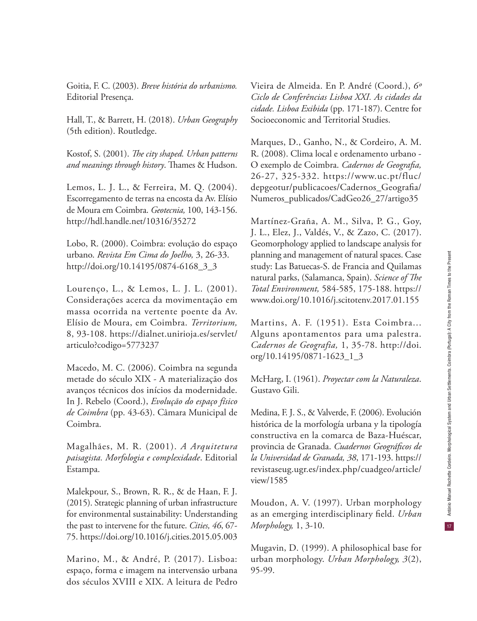Goitia, F. C. (2003). *Breve história do urbanismo.* Editorial Presença.

Hall, T., & Barrett, H. (2018). *Urban Geography* (5th edition). Routledge.

Kostof, S. (2001). *The city shaped. Urban patterns and meanings through history*. Thames & Hudson.

Lemos, L. J. L., & Ferreira, M. Q. (2004). Escorregamento de terras na encosta da Av. Elísio de Moura em Coimbra. *Geotecnia,* 100, 143-156. http://hdl.handle.net/10316/35272

Lobo, R. (2000). Coimbra: evolução do espaço urbano. *Revista Em Cima do Joelho,* 3, 26-33. http://doi.org/10.14195/0874-6168\_3\_3

Lourenço, L., & Lemos, L. J. L. (2001). Considerações acerca da movimentação em massa ocorrida na vertente poente da Av. Elísio de Moura, em Coimbra. *Territorium,* 8, 93-108. https://dialnet.unirioja.es/servlet/ articulo?codigo=5773237

Macedo, M. C. (2006). Coimbra na segunda metade do século XIX - A materialização dos avanços técnicos dos inícios da modernidade. In J. Rebelo (Coord.), *Evolução do espaço físico de Coimbra* (pp. 43-63). Câmara Municipal de Coimbra.

Magalhães, M. R. (2001). *A Arquitetura paisagista. Morfologia e complexidade*. Editorial Estampa.

Malekpour, S., Brown, R. R., & de Haan, F. J. (2015). Strategic planning of urban infrastructure for environmental sustainability: Understanding the past to intervene for the future. *Cities, 46*, 67- 75. https://doi.org/10.1016/j.cities.2015.05.003

Marino, M., & André, P. (2017). Lisboa: espaço, forma e imagem na intervensão urbana dos séculos XVIII e XIX. A leitura de Pedro

Vieira de Almeida. En P. André (Coord.), *6º Ciclo de Conferências Lisboa XXI. As cidades da cidade. Lisboa Exibida* (pp. 171-187). Centre for Socioeconomic and Territorial Studies.

Marques, D., Ganho, N., & Cordeiro, A. M. R. (2008). Clima local e ordenamento urbano - O exemplo de Coimbra. *Cadernos de Geografia,* 26-27, 325-332. https://www.uc.pt/fluc/ depgeotur/publicacoes/Cadernos\_Geografia/ Numeros\_publicados/CadGeo26\_27/artigo35

Martínez-Graña, A. M., Silva, P. G., Goy, J. L., Elez, J., Valdés, V., & Zazo, C. (2017). Geomorphology applied to landscape analysis for planning and management of natural spaces. Case study: Las Batuecas-S. de Francia and Quilamas natural parks, (Salamanca, Spain). *Science of The Total Environment,* 584-585, 175-188. https:// www.doi.org/10.1016/j.scitotenv.2017.01.155

Martins, A. F. (1951). Esta Coimbra... Alguns apontamentos para uma palestra. *Cadernos de Geografia,* 1, 35-78. http://doi. org/10.14195/0871-1623\_1\_3

McHarg, I. (1961). *Proyectar com la Naturaleza*. Gustavo Gili.

Medina, F. J. S., & Valverde, F. (2006). Evolución histórica de la morfología urbana y la tipología constructiva en la comarca de Baza-Huéscar, provincia de Granada. *Cuadernos Geográficos de la Universidad de Granada, 38*, 171-193. https:// revistaseug.ugr.es/index.php/cuadgeo/article/ view/1585

Moudon, A. V. (1997). Urban morphology as an emerging interdisciplinary field. *Urban Morphology,* 1, 3-10.

Mugavin, D. (1999). A philosophical base for urban morphology. *Urban Morphology, 3*(2), 95-99.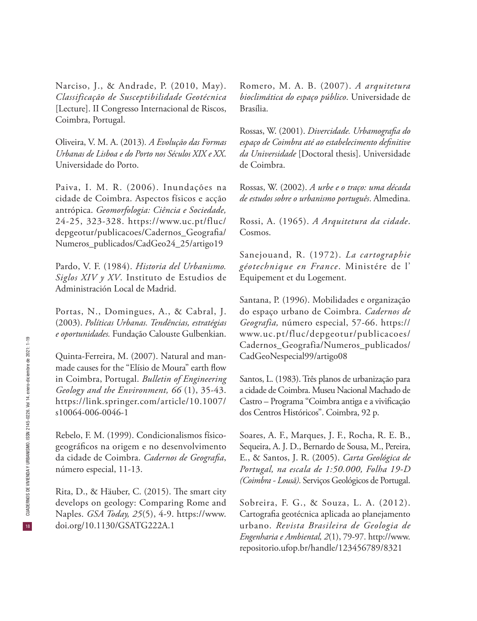Narciso, J., & Andrade, P. (2010, May). *Classificação de Susceptibilidade Geotécnica* [Lecture]. II Congresso Internacional de Riscos, Coimbra, Portugal.

Oliveira, V. M. A. (2013)*. A Evolução das Formas Urbanas de Lisboa e do Porto nos Séculos XIX e XX*. Universidade do Porto.

Paiva, I. M. R. (2006). Inundações na cidade de Coimbra. Aspectos físicos e acção antrópica. *Geomorfologia: Ciência e Sociedade,* 24-25, 323-328. https://www.uc.pt/fluc/ depgeotur/publicacoes/Cadernos\_Geografia/ Numeros\_publicados/CadGeo24\_25/artigo19

Pardo, V. F. (1984). *Historia del Urbanismo. Siglos XIV y XV*. Instituto de Estudios de Administración Local de Madrid.

Portas, N., Domingues, A., & Cabral, J. (2003). *Políticas Urbanas. Tendências, estratégias e oportunidades.* Fundação Calouste Gulbenkian.

Quinta-Ferreira, M. (2007). Natural and manmade causes for the "Elísio de Moura" earth flow in Coimbra, Portugal. *Bulletin of Engineering Geology and the Environment, 66* (1), 35-43. https://link.springer.com/article/10.1007/ s10064-006-0046-1

Rebelo, F. M. (1999). Condicionalismos físicogeográficos na origem e no desenvolvimento da cidade de Coimbra. *Cadernos de Geografia*, número especial, 11-13.

Rita, D., & Häuber, C. (2015). The smart city develops on geology: Comparing Rome and Naples. *GSA Today, 25*(5), 4-9. https://www. doi.org/10.1130/GSATG222A.1

Romero, M. A. B. (2007). *A arquitetura bioclimática do espaço público*. Universidade de Brasília.

Rossas, W. (2001). *Divercidade. Urbamografia do espaço de Coimbra até ao estabelecimento definitive da Universidade* [Doctoral thesis]. Universidade de Coimbra.

Rossas, W. (2002). *A urbe e o traço: uma década de estudos sobre o urbanismo português*. Almedina.

Rossi, A. (1965). *A Arquitetura da cidade*. Cosmos.

Sanejouand, R. (1972). *La cartographie géotechnique en France*. Ministére de l' Equipement et du Logement.

Santana, P. (1996). Mobilidades e organização do espaço urbano de Coimbra. *Cadernos de Geografia,* número especial, 57-66. https:// www.uc.pt/fluc/depgeotur/publicacoes/ Cadernos\_Geografia/Numeros\_publicados/ CadGeoNespecial99/artigo08

Santos, L. (1983). Três planos de urbanização para a cidade de Coimbra. Museu Nacional Machado de Castro – Programa "Coimbra antiga e a vivificação dos Centros Históricos". Coimbra, 92 p.

Soares, A. F., Marques, J. F., Rocha, R. E. B., Sequeira, A. J. D., Bernardo de Sousa, M., Pereira, E., & Santos, J. R. (2005). *Carta Geológica de Portugal, na escala de 1:50.000, Folha 19-D (Coimbra - Lousã)*. Serviços Geológicos de Portugal.

Sobreira, F. G., & Souza, L. A. (2012). Cartografia geotécnica aplicada ao planejamento urbano. *Revista Brasileira de Geologia de Engenharia e Ambiental, 2*(1), 79-97. http://www. repositorio.ufop.br/handle/123456789/8321

 $|18\rangle$